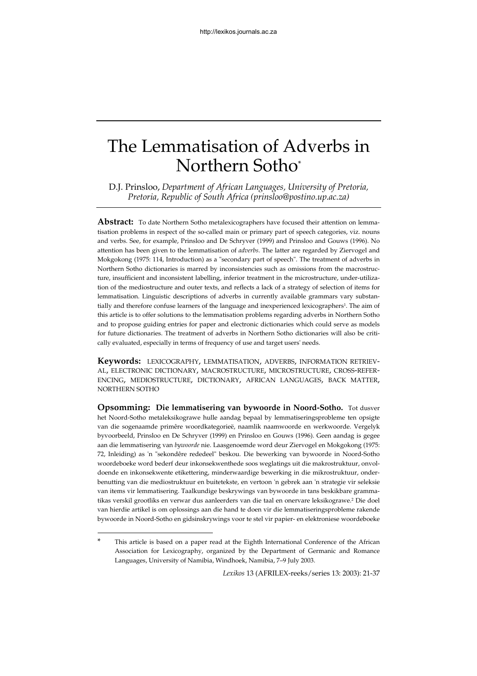# The Lemmatisation of Adverbs in Northern Sotho[\\*](#page-0-0)

D.J. Prinsloo, *Department of African Languages, University of Pretoria, Pretoria, Republic of South Africa (prinsloo@postino.up.ac.za)*

**Abstract:** To date Northern Sotho metalexicographers have focused their attention on lemmatisation problems in respect of the so-called main or primary part of speech categories, viz. nouns and verbs. See, for example, Prinsloo and De Schryver (1999) and Prinsloo and Gouws (1996). No attention has been given to the lemmatisation of *adverbs*. The latter are regarded by Ziervogel and Mokgokong (1975: 114, Introduction) as a "secondary part of speech". The treatment of adverbs in Northern Sotho dictionaries is marred by inconsistencies such as omissions from the macrostructure, insufficient and inconsistent labelling, inferior treatment in the microstructure, under-utilization of the mediostructure and outer texts, and reflects a lack of a strategy of selection of items for lemmatisation. Linguistic descriptions of adverbs in currently available grammars vary substantially and therefore confuse learners of the language and inexperienced lexicographers<sup>1</sup>. The aim of this article is to offer solutions to the lemmatisation problems regarding adverbs in Northern Sotho and to propose guiding entries for paper and electronic dictionaries which could serve as models for future dictionaries. The treatment of adverbs in Northern Sotho dictionaries will also be critically evaluated, especially in terms of frequency of use and target users' needs.

**Keywords:** LEXICOGRAPHY, LEMMATISATION, ADVERBS, INFORMATION RETRIEV-AL, ELECTRONIC DICTIONARY, MACROSTRUCTURE, MICROSTRUCTURE, CROSS-REFER-ENCING, MEDIOSTRUCTURE, DICTIONARY, AFRICAN LANGUAGES, BACK MATTER, NORTHERN SOTHO

**Opsomming: Die lemmatisering van bywoorde in Noord-Sotho.** Tot dusver het Noord-Sotho metaleksikograwe hulle aandag bepaal by lemmatiseringsprobleme ten opsigte van die sogenaamde primêre woordkategorieë, naamlik naamwoorde en werkwoorde. Vergelyk byvoorbeeld, Prinsloo en De Schryver (1999) en Prinsloo en Gouws (1996). Geen aandag is gegee aan die lemmatisering van *bywoorde* nie. Laasgenoemde word deur Ziervogel en Mokgokong (1975: 72, Inleiding) as 'n "sekondêre rededeel" beskou. Die bewerking van bywoorde in Noord-Sotho woordeboeke word bederf deur inkonsekwenthede soos weglatings uit die makrostruktuur, onvoldoende en inkonsekwente etikettering, minderwaardige bewerking in die mikrostruktuur, onderbenutting van die mediostruktuur en buitetekste, en vertoon 'n gebrek aan 'n strategie vir seleksie van items vir lemmatisering. Taalkundige beskrywings van bywoorde in tans beskikbare grammatikas verskil grootliks en verwar dus aanleerders van die taal en onervare leksikograwe.2 Die doel van hierdie artikel is om oplossings aan die hand te doen vir die lemmatiseringsprobleme rakende bywoorde in Noord-Sotho en gidsinskrywings voor te stel vir papier- en elektroniese woordeboeke

l

*Lexikos* 13 (AFRILEX-reeks/series 13: 2003): 21-37

<span id="page-0-0"></span>This article is based on a paper read at the Eighth International Conference of the African Association for Lexicography, organized by the Department of Germanic and Romance Languages, University of Namibia, Windhoek, Namibia, 7–9 July 2003.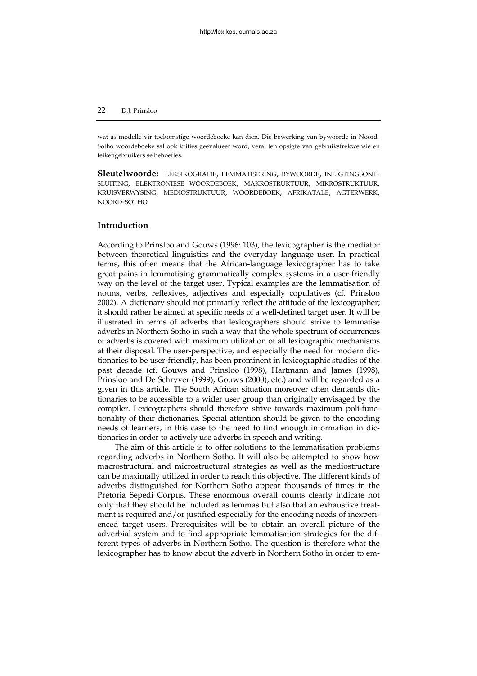wat as modelle vir toekomstige woordeboeke kan dien. Die bewerking van bywoorde in Noord-Sotho woordeboeke sal ook krities geëvalueer word, veral ten opsigte van gebruiksfrekwensie en teikengebruikers se behoeftes.

**Sleutelwoorde:** LEKSIKOGRAFIE, LEMMATISERING, BYWOORDE, INLIGTINGSONT-SLUITING, ELEKTRONIESE WOORDEBOEK, MAKROSTRUKTUUR, MIKROSTRUKTUUR, KRUISVERWYSING, MEDIOSTRUKTUUR, WOORDEBOEK, AFRIKATALE, AGTERWERK, NOORD-SOTHO

## **Introduction**

According to Prinsloo and Gouws (1996: 103), the lexicographer is the mediator between theoretical linguistics and the everyday language user. In practical terms, this often means that the African-language lexicographer has to take great pains in lemmatising grammatically complex systems in a user-friendly way on the level of the target user. Typical examples are the lemmatisation of nouns, verbs, reflexives, adjectives and especially copulatives (cf. Prinsloo 2002). A dictionary should not primarily reflect the attitude of the lexicographer; it should rather be aimed at specific needs of a well-defined target user. It will be illustrated in terms of adverbs that lexicographers should strive to lemmatise adverbs in Northern Sotho in such a way that the whole spectrum of occurrences of adverbs is covered with maximum utilization of all lexicographic mechanisms at their disposal. The user-perspective, and especially the need for modern dictionaries to be user-friendly, has been prominent in lexicographic studies of the past decade (cf. Gouws and Prinsloo (1998), Hartmann and James (1998), Prinsloo and De Schryver (1999), Gouws (2000), etc.) and will be regarded as a given in this article. The South African situation moreover often demands dictionaries to be accessible to a wider user group than originally envisaged by the compiler. Lexicographers should therefore strive towards maximum poli-functionality of their dictionaries. Special attention should be given to the encoding needs of learners, in this case to the need to find enough information in dictionaries in order to actively use adverbs in speech and writing.

The aim of this article is to offer solutions to the lemmatisation problems regarding adverbs in Northern Sotho. It will also be attempted to show how macrostructural and microstructural strategies as well as the mediostructure can be maximally utilized in order to reach this objective. The different kinds of adverbs distinguished for Northern Sotho appear thousands of times in the Pretoria Sepedi Corpus. These enormous overall counts clearly indicate not only that they should be included as lemmas but also that an exhaustive treatment is required and/or justified especially for the encoding needs of inexperienced target users. Prerequisites will be to obtain an overall picture of the adverbial system and to find appropriate lemmatisation strategies for the different types of adverbs in Northern Sotho. The question is therefore what the lexicographer has to know about the adverb in Northern Sotho in order to em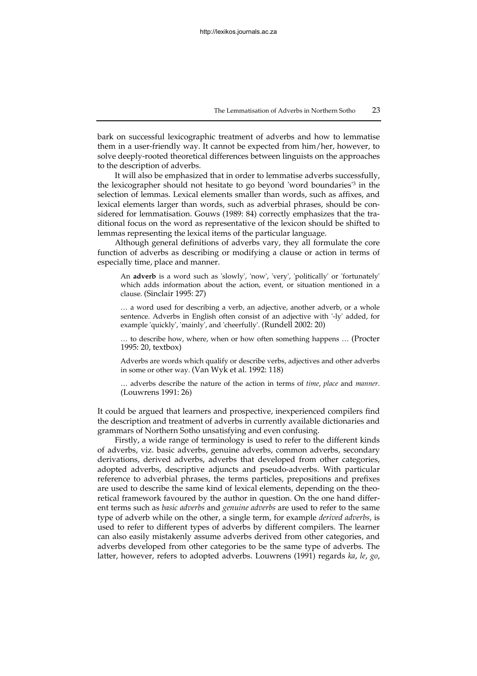bark on successful lexicographic treatment of adverbs and how to lemmatise them in a user-friendly way. It cannot be expected from him/her, however, to solve deeply-rooted theoretical differences between linguists on the approaches to the description of adverbs.

It will also be emphasized that in order to lemmatise adverbs successfully, the lexicographer should not hesitate to go beyond 'word boundaries'3 in the selection of lemmas. Lexical elements smaller than words, such as affixes, and lexical elements larger than words, such as adverbial phrases, should be considered for lemmatisation. Gouws (1989: 84) correctly emphasizes that the traditional focus on the word as representative of the lexicon should be shifted to lemmas representing the lexical items of the particular language.

Although general definitions of adverbs vary, they all formulate the core function of adverbs as describing or modifying a clause or action in terms of especially time, place and manner.

 An **adverb** is a word such as 'slowly', 'now', 'very', 'politically' or 'fortunately' which adds information about the action, event, or situation mentioned in a clause. (Sinclair 1995: 27)

 … a word used for describing a verb, an adjective, another adverb, or a whole sentence. Adverbs in English often consist of an adjective with '-ly' added, for example 'quickly', 'mainly', and 'cheerfully'. (Rundell 2002: 20)

 … to describe how, where, when or how often something happens … (Procter 1995: 20, textbox)

 Adverbs are words which qualify or describe verbs, adjectives and other adverbs in some or other way. (Van Wyk et al. 1992: 118)

 … adverbs describe the nature of the action in terms of *time*, *place* and *manner*. (Louwrens 1991: 26)

It could be argued that learners and prospective, inexperienced compilers find the description and treatment of adverbs in currently available dictionaries and grammars of Northern Sotho unsatisfying and even confusing.

Firstly, a wide range of terminology is used to refer to the different kinds of adverbs, viz. basic adverbs, genuine adverbs, common adverbs, secondary derivations, derived adverbs, adverbs that developed from other categories, adopted adverbs, descriptive adjuncts and pseudo-adverbs. With particular reference to adverbial phrases, the terms particles, prepositions and prefixes are used to describe the same kind of lexical elements, depending on the theoretical framework favoured by the author in question. On the one hand different terms such as *basic adverbs* and *genuine adverbs* are used to refer to the same type of adverb while on the other, a single term, for example *derived adverbs*, is used to refer to different types of adverbs by different compilers. The learner can also easily mistakenly assume adverbs derived from other categories, and adverbs developed from other categories to be the same type of adverbs. The latter, however, refers to adopted adverbs. Louwrens (1991) regards *ka*, *le*, *go*,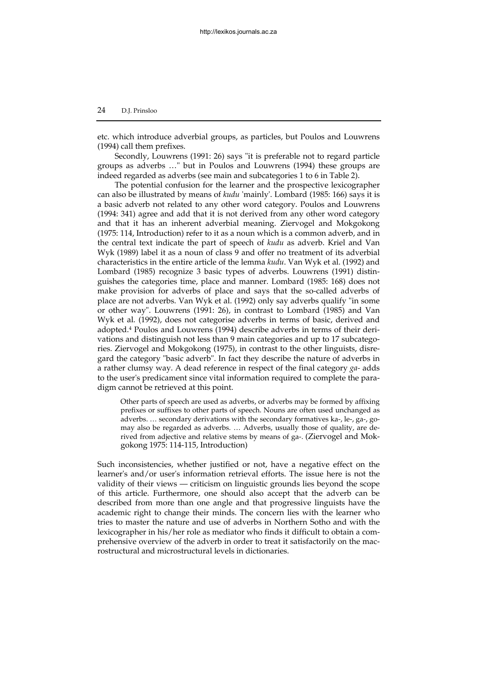etc. which introduce adverbial groups, as particles, but Poulos and Louwrens (1994) call them prefixes.

Secondly, Louwrens (1991: 26) says "it is preferable not to regard particle groups as adverbs …" but in Poulos and Louwrens (1994) these groups are indeed regarded as adverbs (see main and subcategories 1 to 6 in Table 2).

The potential confusion for the learner and the prospective lexicographer can also be illustrated by means of *kudu* 'mainly'. Lombard (1985: 166) says it is a basic adverb not related to any other word category. Poulos and Louwrens (1994: 341) agree and add that it is not derived from any other word category and that it has an inherent adverbial meaning. Ziervogel and Mokgokong (1975: 114, Introduction) refer to it as a noun which is a common adverb, and in the central text indicate the part of speech of *kudu* as adverb. Kriel and Van Wyk (1989) label it as a noun of class 9 and offer no treatment of its adverbial characteristics in the entire article of the lemma *kudu*. Van Wyk et al. (1992) and Lombard (1985) recognize 3 basic types of adverbs. Louwrens (1991) distinguishes the categories time, place and manner. Lombard (1985: 168) does not make provision for adverbs of place and says that the so-called adverbs of place are not adverbs. Van Wyk et al. (1992) only say adverbs qualify "in some or other way". Louwrens (1991: 26), in contrast to Lombard (1985) and Van Wyk et al. (1992), does not categorise adverbs in terms of basic, derived and adopted.4 Poulos and Louwrens (1994) describe adverbs in terms of their derivations and distinguish not less than 9 main categories and up to 17 subcategories. Ziervogel and Mokgokong (1975), in contrast to the other linguists, disregard the category "basic adverb". In fact they describe the nature of adverbs in a rather clumsy way. A dead reference in respect of the final category *ga-* adds to the user's predicament since vital information required to complete the paradigm cannot be retrieved at this point.

 Other parts of speech are used as adverbs, or adverbs may be formed by affixing prefixes or suffixes to other parts of speech. Nouns are often used unchanged as adverbs. … secondary derivations with the secondary formatives ka-, le-, ga-, gomay also be regarded as adverbs. … Adverbs, usually those of quality, are derived from adjective and relative stems by means of ga-. (Ziervogel and Mokgokong 1975: 114-115, Introduction)

Such inconsistencies, whether justified or not, have a negative effect on the learner's and/or user's information retrieval efforts. The issue here is not the validity of their views — criticism on linguistic grounds lies beyond the scope of this article. Furthermore, one should also accept that the adverb can be described from more than one angle and that progressive linguists have the academic right to change their minds. The concern lies with the learner who tries to master the nature and use of adverbs in Northern Sotho and with the lexicographer in his/her role as mediator who finds it difficult to obtain a comprehensive overview of the adverb in order to treat it satisfactorily on the macrostructural and microstructural levels in dictionaries.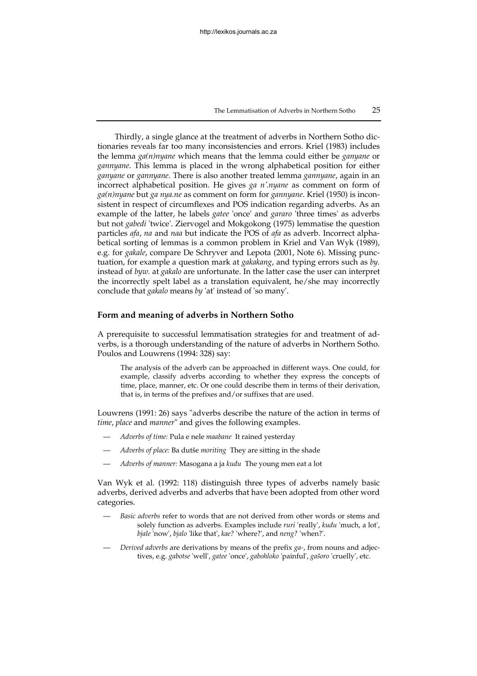Thirdly, a single glance at the treatment of adverbs in Northern Sotho dictionaries reveals far too many inconsistencies and errors. Kriel (1983) includes the lemma *ga(n)nyane* which means that the lemma could either be *ganyane* or *gannyane*. This lemma is placed in the wrong alphabetical position for either *ganyane* or *gannyane*. There is also another treated lemma *gannyane*, again in an incorrect alphabetical position. He gives *ga n'.nyane* as comment on form of *ga(n)nyane* but *ga nya.ne* as comment on form for *gannyane*. Kriel (1950) is inconsistent in respect of circumflexes and POS indication regarding adverbs. As an example of the latter, he labels *gatee* 'once' and *gararo* 'three times' as adverbs but not *gabedi* 'twice'. Ziervogel and Mokgokong (1975) lemmatise the question particles *afa*, *na* and *naa* but indicate the POS of *afa* as adverb. Incorrect alphabetical sorting of lemmas is a common problem in Kriel and Van Wyk (1989), e.g. for *gakale*, compare De Schryver and Lepota (2001, Note 6). Missing punctuation, for example a question mark at *gakakang*, and typing errors such as *by.* instead of *byw.* at *gakalo* are unfortunate. In the latter case the user can interpret the incorrectly spelt label as a translation equivalent, he/she may incorrectly conclude that *gakalo* means *by* 'at' instead of 'so many'.

#### **Form and meaning of adverbs in Northern Sotho**

A prerequisite to successful lemmatisation strategies for and treatment of adverbs, is a thorough understanding of the nature of adverbs in Northern Sotho. Poulos and Louwrens (1994: 328) say:

 The analysis of the adverb can be approached in different ways. One could, for example, classify adverbs according to whether they express the concepts of time, place, manner, etc. Or one could describe them in terms of their derivation, that is, in terms of the prefixes and/or suffixes that are used.

Louwrens (1991: 26) says "adverbs describe the nature of the action in terms of *time*, *place* and *manner*" and gives the following examples.

- *Adverbs of time:* Pula e nele *maabane* It rained yesterday
- *Adverbs of place:* Ba dutše *moriting* They are sitting in the shade
- *Adverbs of manner:* Masogana a ja *kudu* The young men eat a lot

Van Wyk et al. (1992: 118) distinguish three types of adverbs namely basic adverbs, derived adverbs and adverbs that have been adopted from other word categories.

- *Basic adverbs* refer to words that are not derived from other words or stems and solely function as adverbs. Examples include *ruri* 'really', *kudu* 'much, a lot', *bjale* 'now', *bjalo* 'like that', *kae?* 'where?', and *neng?* 'when?'.
- *Derived adverbs* are derivations by means of the prefix *ga-*, from nouns and adjectives, e.g. *gabotse* 'well', *gatee* 'once', *gabohloko* 'painful', *gašoro* 'cruelly', etc.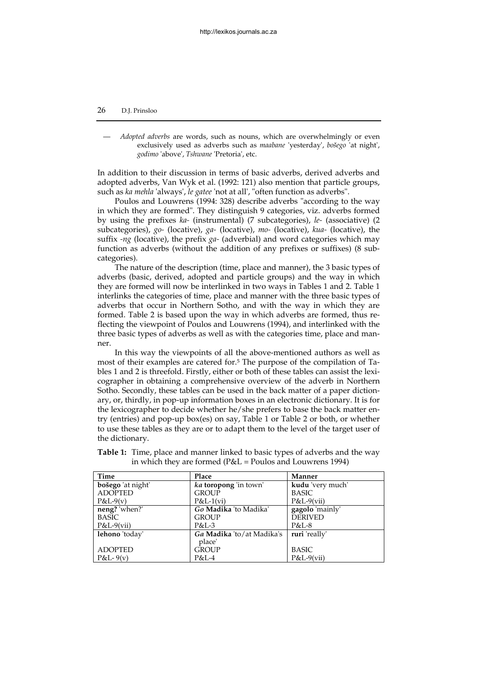— *Adopted adverbs* are words, such as nouns, which are overwhelmingly or even exclusively used as adverbs such as *maabane* 'yesterday', *bošego* 'at night', *godimo* 'above', *Tshwane* 'Pretoria', etc.

In addition to their discussion in terms of basic adverbs, derived adverbs and adopted adverbs, Van Wyk et al. (1992: 121) also mention that particle groups, such as *ka mehla* 'always', *le gatee* 'not at all', "often function as adverbs".

Poulos and Louwrens (1994: 328) describe adverbs "according to the way in which they are formed". They distinguish 9 categories, viz. adverbs formed by using the prefixes *ka-* (instrumental) (7 subcategories), *le-* (associative) (2 subcategories), *go-* (locative), *ga-* (locative), *mo-* (locative), *kua-* (locative), the suffix *-ng* (locative), the prefix *ga-* (adverbial) and word categories which may function as adverbs (without the addition of any prefixes or suffixes) (8 subcategories).

The nature of the description (time, place and manner), the 3 basic types of adverbs (basic, derived, adopted and particle groups) and the way in which they are formed will now be interlinked in two ways in Tables 1 and 2. Table 1 interlinks the categories of time, place and manner with the three basic types of adverbs that occur in Northern Sotho, and with the way in which they are formed. Table 2 is based upon the way in which adverbs are formed, thus reflecting the viewpoint of Poulos and Louwrens (1994), and interlinked with the three basic types of adverbs as well as with the categories time, place and manner.

In this way the viewpoints of all the above-mentioned authors as well as most of their examples are catered for.5 The purpose of the compilation of Tables 1 and 2 is threefold. Firstly, either or both of these tables can assist the lexicographer in obtaining a comprehensive overview of the adverb in Northern Sotho. Secondly, these tables can be used in the back matter of a paper dictionary, or, thirdly, in pop-up information boxes in an electronic dictionary. It is for the lexicographer to decide whether he/she prefers to base the back matter entry (entries) and pop-up box(es) on say, Table 1 or Table 2 or both, or whether to use these tables as they are or to adapt them to the level of the target user of the dictionary.

| Time              | Place                     | Manner           |
|-------------------|---------------------------|------------------|
| bošego 'at night' | ka toropong 'in town'     | kudu 'very much' |
| <b>ADOPTED</b>    | <b>GROUP</b>              | <b>BASIC</b>     |
| $P&L-9(v)$        | $P&L-1(vi)$               | $P&L-9(vii)$     |
| neng? 'when?'     | Go Madika 'to Madika'     | gagolo 'mainly'  |
| <b>BASIC</b>      | <b>GROUP</b>              | <b>DERIVED</b>   |
| $P&L-9(vii)$      | $P&L-3$                   | $P&L-8$          |
| lehono 'today'    | Ga Madika 'to/at Madika's | ruri 'really'    |
|                   | place'                    |                  |
| <b>ADOPTED</b>    | <b>GROUP</b>              | <b>BASIC</b>     |
| $P&L-9(v)$        | $P&L-4$                   | $P&L-9(vii)$     |

**Table 1:** Time, place and manner linked to basic types of adverbs and the way in which they are formed (P&L = Poulos and Louwrens 1994)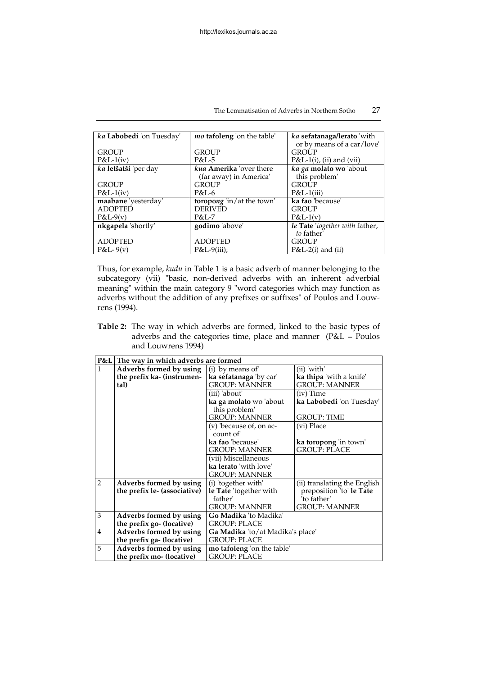| ka Labobedi 'on Tuesday' | mo tafoleng 'on the table' | ka sefatanaga/lerato 'with     |
|--------------------------|----------------------------|--------------------------------|
|                          |                            | or by means of a car/love'     |
| <b>GROUP</b>             | <b>GROUP</b>               | <b>GROUP</b>                   |
| $P&L-1(iv)$              | $P&L-5$                    | $P&L-1(i)$ , (ii) and (vii)    |
| ka letšatši 'per day'    | kua Amerika 'over there    | ka ga molato wo 'about         |
|                          | (far away) in America'     | this problem'                  |
| <b>GROUP</b>             | <b>GROUP</b>               | <b>GROUP</b>                   |
| $P&L-1(iv)$              | $P&L-6$                    | $P&L-1(iii)$                   |
| maabane 'yesterday'      | toropong 'in/at the town'  | ka fao 'because'               |
| <b>ADOPTED</b>           | <b>DERIVED</b>             | <b>GROUP</b>                   |
| $P&L-9(v)$               | $P&L-7$                    | $P&L-1(v)$                     |
| nkgapela 'shortly'       | godimo 'above'             | le Tate 'together with father, |
|                          |                            | to father'                     |
| <b>ADOPTED</b>           | <b>ADOPTED</b>             | <b>GROUP</b>                   |
| $P&L-9(v)$               | $P&L-9(iii);$              | $P&L-2(i)$ and $(ii)$          |

Thus, for example, *kudu* in Table 1 is a basic adverb of manner belonging to the subcategory (vii) "basic, non-derived adverbs with an inherent adverbial meaning" within the main category 9 "word categories which may function as adverbs without the addition of any prefixes or suffixes" of Poulos and Louwrens (1994).

**Table 2:** The way in which adverbs are formed, linked to the basic types of adverbs and the categories time, place and manner (P&L = Poulos and Louwrens 1994)

|                | P&L The way in which adverbs are formed |                                             |                              |  |  |  |
|----------------|-----------------------------------------|---------------------------------------------|------------------------------|--|--|--|
| $\mathbf{1}$   | Adverbs formed by using                 | (i) by means of                             | $(ii)$ 'with'                |  |  |  |
|                | the prefix ka- (instrumen-              | ka sefatanaga 'by car'                      | ka thipa 'with a knife'      |  |  |  |
|                | tal)                                    | <b>GROUP: MANNER</b>                        | <b>GROUP: MANNER</b>         |  |  |  |
|                |                                         | (iii) 'about'                               | $(iv)$ Time                  |  |  |  |
|                |                                         | ka ga molato wo 'about                      | ka Labobedi 'on Tuesday'     |  |  |  |
|                |                                         | this problem'                               |                              |  |  |  |
|                |                                         | <b>GROUP: MANNER</b>                        | <b>GROUP: TIME</b>           |  |  |  |
|                |                                         | (v) because of, on ac-                      | (vi) Place                   |  |  |  |
|                |                                         | count of                                    |                              |  |  |  |
|                |                                         | ka fao 'because'<br>ka toropong 'in town'   |                              |  |  |  |
|                |                                         | <b>GROUP: PLACE</b><br><b>GROUP: MANNER</b> |                              |  |  |  |
|                |                                         | (vii) Miscellaneous                         |                              |  |  |  |
|                |                                         | ka lerato 'with love'                       |                              |  |  |  |
|                |                                         | <b>GROUP: MANNER</b>                        |                              |  |  |  |
| $\overline{2}$ | Adverbs formed by using                 | (i) 'together with'                         | (ii) translating the English |  |  |  |
|                | the prefix le- (associative)            | le Tate 'together with                      | preposition to' le Tate      |  |  |  |
|                |                                         | father'                                     | 'to father'                  |  |  |  |
|                |                                         | <b>GROUP: MANNER</b>                        | <b>GROUP: MANNER</b>         |  |  |  |
| $\mathfrak{Z}$ | Adverbs formed by using                 | Go Madika 'to Madika'                       |                              |  |  |  |
|                | the prefix go- (locative)               | <b>GROUP: PLACE</b>                         |                              |  |  |  |
| $\overline{4}$ | Adverbs formed by using                 | Ga Madika 'to/at Madika's place'            |                              |  |  |  |
|                | the prefix ga- (locative)               | <b>GROUP: PLACE</b>                         |                              |  |  |  |
| 5              | Adverbs formed by using                 | mo tafoleng 'on the table'                  |                              |  |  |  |
|                | the prefix mo- (locative)               | <b>GROUP: PLACE</b>                         |                              |  |  |  |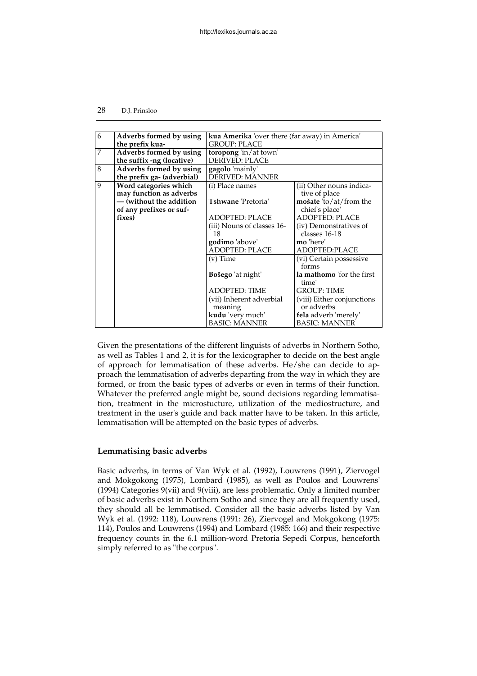| 6 | Adverbs formed by using    | kua Amerika 'over there (far away) in America'         |                                  |  |  |  |
|---|----------------------------|--------------------------------------------------------|----------------------------------|--|--|--|
|   | the prefix kua-            | <b>GROUP: PLACE</b>                                    |                                  |  |  |  |
| 7 | Adverbs formed by using    | toropong 'in/at town'                                  |                                  |  |  |  |
|   | the suffix -ng (locative)  | <b>DERIVED: PLACE</b>                                  |                                  |  |  |  |
| 8 | Adverbs formed by using    | gagolo 'mainly'                                        |                                  |  |  |  |
|   | the prefix ga- (adverbial) | DERIVED: MANNER                                        |                                  |  |  |  |
| 9 | Word categories which      | (i) Place names                                        | (ii) Other nouns indica-         |  |  |  |
|   | may function as adverbs    |                                                        | tive of place                    |  |  |  |
|   | — (without the addition    | Tshwane 'Pretoria'                                     | mošate 'to/at/from the           |  |  |  |
|   | of any prefixes or suf-    |                                                        | chief's place'                   |  |  |  |
|   | fixes)                     | ADOPTED: PLACE                                         | <b>ADOPTED: PLACE</b>            |  |  |  |
|   |                            | (iii) Nouns of classes 16-                             | (iv) Demonstratives of           |  |  |  |
|   |                            | 18                                                     | classes 16-18                    |  |  |  |
|   |                            | godimo 'above'                                         | mo 'here'                        |  |  |  |
|   |                            | <b>ADOPTED: PLACE</b>                                  | ADOPTED:PLACE                    |  |  |  |
|   |                            | $(v)$ Time<br>(vi) Certain possessive                  |                                  |  |  |  |
|   |                            |                                                        | forms                            |  |  |  |
|   |                            | Bošego 'at night'                                      | <b>la mathomo</b> 'for the first |  |  |  |
|   |                            |                                                        | time'                            |  |  |  |
|   |                            | <b>ADOPTED: TIME</b><br><b>GROUP: TIME</b>             |                                  |  |  |  |
|   |                            | (viii) Either conjunctions<br>(vii) Inherent adverbial |                                  |  |  |  |
|   |                            | or adverbs<br>meaning                                  |                                  |  |  |  |
|   |                            | kudu 'very much'                                       | fela adverb 'merely'             |  |  |  |
|   |                            | <b>BASIC: MANNER</b>                                   | <b>BASIC: MANNER</b>             |  |  |  |

Given the presentations of the different linguists of adverbs in Northern Sotho, as well as Tables 1 and 2, it is for the lexicographer to decide on the best angle of approach for lemmatisation of these adverbs. He/she can decide to approach the lemmatisation of adverbs departing from the way in which they are formed, or from the basic types of adverbs or even in terms of their function. Whatever the preferred angle might be, sound decisions regarding lemmatisation, treatment in the microstucture, utilization of the mediostructure, and treatment in the user's guide and back matter have to be taken. In this article, lemmatisation will be attempted on the basic types of adverbs.

# **Lemmatising basic adverbs**

Basic adverbs, in terms of Van Wyk et al. (1992), Louwrens (1991), Ziervogel and Mokgokong (1975), Lombard (1985), as well as Poulos and Louwrens' (1994) Categories 9(vii) and 9(viii), are less problematic. Only a limited number of basic adverbs exist in Northern Sotho and since they are all frequently used, they should all be lemmatised. Consider all the basic adverbs listed by Van Wyk et al. (1992: 118), Louwrens (1991: 26), Ziervogel and Mokgokong (1975: 114), Poulos and Louwrens (1994) and Lombard (1985: 166) and their respective frequency counts in the 6.1 million-word Pretoria Sepedi Corpus, henceforth simply referred to as "the corpus".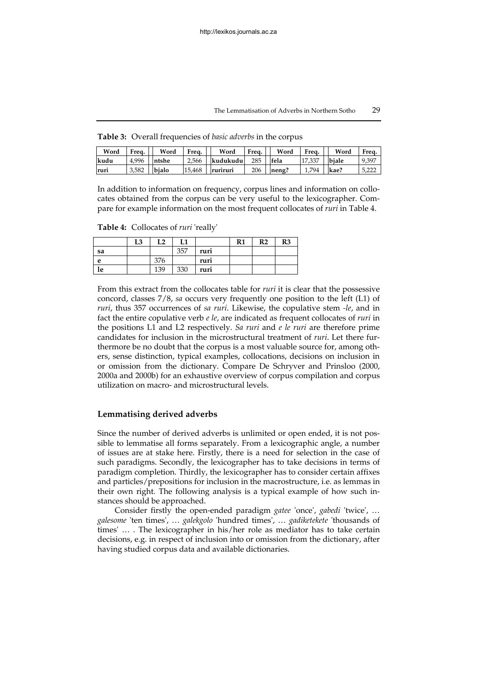**Table 3:** Overall frequencies of *basic adverbs* in the corpus

| Word | Frea. | Word  | Freq. $  $ | Word                | Frea. 11        | Word        | Frea.  | Word  | Frea. |
|------|-------|-------|------------|---------------------|-----------------|-------------|--------|-------|-------|
| kudu | 4.996 | ntshe |            | 2.566   kudukudu    | 285 <b>fela</b> |             | 17.337 | biale | 9,397 |
| ruri | 3,582 | bialo |            | $15,468$   ruriruri |                 | $206$ neng? | 1,794  | kae?  | 5.222 |

In addition to information on frequency, corpus lines and information on collocates obtained from the corpus can be very useful to the lexicographer. Compare for example information on the most frequent collocates of *ruri* in Table 4.

**Table 4:** Collocates of *ruri* 'really'

|           | L3 | L2  | L1  |      | R1 | R <sub>2</sub> | R <sub>3</sub> |
|-----------|----|-----|-----|------|----|----------------|----------------|
| sa        |    |     | 357 | ruri |    |                |                |
| -e        |    | 376 |     | ruri |    |                |                |
| <b>le</b> |    | 139 | 330 | ruri |    |                |                |

From this extract from the collocates table for *ruri* it is clear that the possessive concord, classes 7/8, *sa* occurs very frequently one position to the left (L1) of *ruri*, thus 357 occurrences of *sa ruri*. Likewise, the copulative stem *-le*, and in fact the entire copulative verb *e le*, are indicated as frequent collocates of *ruri* in the positions L1 and L2 respectively. *Sa ruri* and *e le ruri* are therefore prime candidates for inclusion in the microstructural treatment of *ruri*. Let there furthermore be no doubt that the corpus is a most valuable source for, among others, sense distinction, typical examples, collocations, decisions on inclusion in or omission from the dictionary. Compare De Schryver and Prinsloo (2000, 2000a and 2000b) for an exhaustive overview of corpus compilation and corpus utilization on macro- and microstructural levels.

## **Lemmatising derived adverbs**

Since the number of derived adverbs is unlimited or open ended, it is not possible to lemmatise all forms separately. From a lexicographic angle, a number of issues are at stake here. Firstly, there is a need for selection in the case of such paradigms. Secondly, the lexicographer has to take decisions in terms of paradigm completion. Thirdly, the lexicographer has to consider certain affixes and particles/prepositions for inclusion in the macrostructure, i.e. as lemmas in their own right. The following analysis is a typical example of how such instances should be approached.

Consider firstly the open-ended paradigm *gatee* 'once', *gabedi* 'twice', … *galesome* 'ten times', … *galekgolo* 'hundred times', … *gadiketekete* 'thousands of times' … . The lexicographer in his/her role as mediator has to take certain decisions, e.g. in respect of inclusion into or omission from the dictionary, after having studied corpus data and available dictionaries.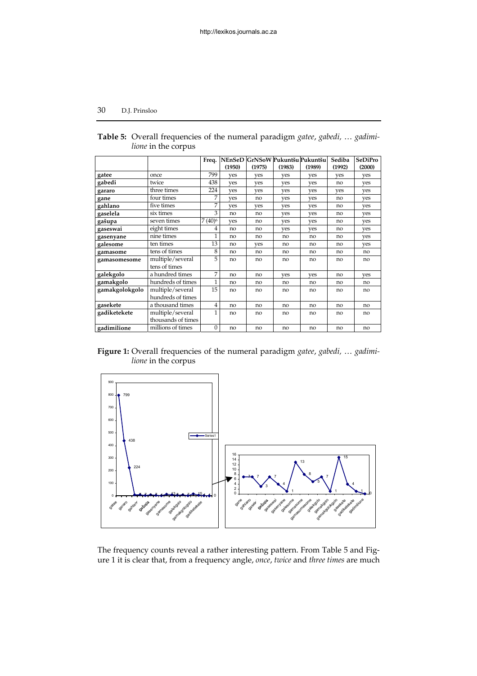|                |                    | Freq.          |        |        |        | NEnSeD GrNSoW Pukuntšu Pukuntšu | Sediba | <b>SeDiPro</b> |
|----------------|--------------------|----------------|--------|--------|--------|---------------------------------|--------|----------------|
|                |                    |                | (1950) | (1975) | (1983) | (1989)                          | (1992) | (2000)         |
| gatee          | once               | 799            | ves    | ves    | ves    | ves                             | ves    | ves            |
| gabedi         | twice              | 438            | ves    | ves    | ves    | ves                             | no     | ves            |
| gararo         | three times        | 224            | yes    | ves    | ves    | ves                             | ves    | ves            |
| gane           | four times         | 7              | ves    | no     | ves    | ves                             | no     | ves            |
| gahlano        | five times         | 7              | ves    | ves    | ves    | ves                             | no     | ves            |
| gaselela       | six times          | 3              | no     | no     | yes    | ves                             | no     | yes            |
| gašupa         | seven times        | $7(40)^6$      | ves    | no     | ves    | ves                             | no     | ves            |
| gaseswai       | eight times        | 4              | no     | no     | ves    | ves                             | no     | ves            |
| gasenyane      | nine times         | 1              | no     | no     | no     | no                              | no     | ves            |
| galesome       | ten times          | 13             | no     | ves    | no     | no                              | no     | ves            |
| gamasome       | tens of times      | 8              | no     | no     | no     | no                              | no     | no             |
| gamasomesome   | multiple/several   | 5              | no     | no     | no     | no                              | no     | no             |
|                | tens of times      |                |        |        |        |                                 |        |                |
| galekgolo      | a hundred times    | 7              | no     | no     | ves    | ves                             | no     | ves            |
| gamakgolo      | hundreds of times  | 1              | no     | no     | no     | no                              | no     | no             |
| gamakgolokgolo | multiple/several   | 15             | no     | no     | no     | no                              | no     | no             |
|                | hundreds of times  |                |        |        |        |                                 |        |                |
| gasekete       | a thousand times   | $\overline{4}$ | no     | no     | no     | no                              | no     | no             |
| gadiketekete   | multiple/several   | 1              | no     | no     | no     | no                              | no     | no             |
|                | thousands of times |                |        |        |        |                                 |        |                |
| gadimilione    | millions of times  | $\mathbf{0}$   | no     | no     | no     | no                              | no     | no             |

**Table 5:** Overall frequencies of the numeral paradigm *gatee*, *gabedi,* … *gadimilione* in the corpus

**Figure 1:** Overall frequencies of the numeral paradigm *gatee*, *gabedi,* … *gadimilione* in the corpus



The frequency counts reveal a rather interesting pattern. From Table 5 and Figure 1 it is clear that, from a frequency angle, *once*, *twice* and *three times* are much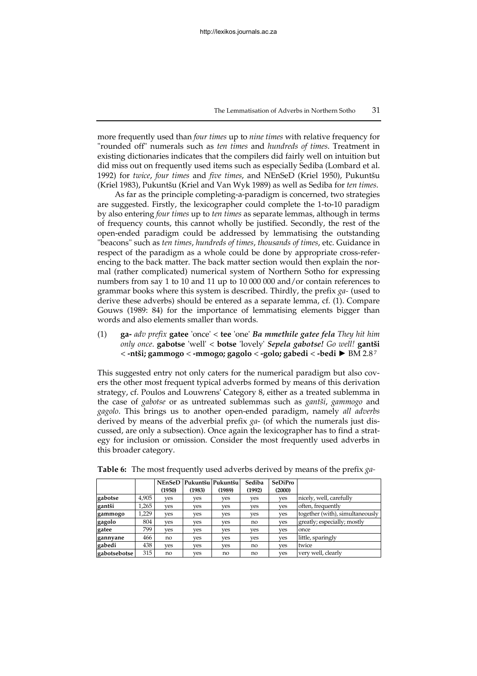more frequently used than *four times* up to *nine times* with relative frequency for "rounded off" numerals such as *ten times* and *hundreds of times*. Treatment in existing dictionaries indicates that the compilers did fairly well on intuition but did miss out on frequently used items such as especially Sediba (Lombard et al. 1992) for *twice*, *four times* and *five times*, and NEnSeD (Kriel 1950), Pukuntšu (Kriel 1983), Pukuntšu (Kriel and Van Wyk 1989) as well as Sediba for *ten times*.

As far as the principle completing-a-paradigm is concerned, two strategies are suggested. Firstly, the lexicographer could complete the 1-to-10 paradigm by also entering *four times* up to *ten times* as separate lemmas, although in terms of frequency counts, this cannot wholly be justified. Secondly, the rest of the open-ended paradigm could be addressed by lemmatising the outstanding "beacons" such as *ten times*, *hundreds of times*, *thousands of times*, etc. Guidance in respect of the paradigm as a whole could be done by appropriate cross-referencing to the back matter. The back matter section would then explain the normal (rather complicated) numerical system of Northern Sotho for expressing numbers from say 1 to 10 and 11 up to 10 000 000 and/or contain references to grammar books where this system is described. Thirdly, the prefix *ga-* (used to derive these adverbs) should be entered as a separate lemma, cf. (1). Compare Gouws (1989: 84) for the importance of lemmatising elements bigger than words and also elements smaller than words.

(1) **ga-** *adv prefix* **gatee** 'once' < **tee** 'one' *Ba mmethile gatee fela They hit him only once*. **gabotse** 'well' < **botse** 'lovely' *Sepela gabotse! Go well!* **gantši** < **-ntši; gammogo** < **-mmogo; gagolo** < **-golo; gabedi** < **-bedi** ► BM 2.8 7

This suggested entry not only caters for the numerical paradigm but also covers the other most frequent typical adverbs formed by means of this derivation strategy, cf. Poulos and Louwrens' Category 8, either as a treated sublemma in the case of *gabotse* or as untreated sublemmas such as *gantši*, *gammogo* and *gagolo*. This brings us to another open-ended paradigm, namely *all adverbs* derived by means of the adverbial prefix *ga*- (of which the numerals just discussed, are only a subsection). Once again the lexicographer has to find a strategy for inclusion or omission. Consider the most frequently used adverbs in this broader category.

|              |       |        |        | NEnSeD Pukuntšu Pukuntšu | Sediba | <b>SeDiPro</b> |                                 |
|--------------|-------|--------|--------|--------------------------|--------|----------------|---------------------------------|
|              |       | (1950) | (1983) | (1989)                   | (1992) | (2000)         |                                 |
| gabotse      | 4.905 | ves    | ves    | ves                      | ves    | ves            | nicely, well, carefully         |
| gantši       | 1,265 | ves    | ves    | ves                      | ves    | ves            | often, frequently               |
| gammogo      | 1,229 | ves    | ves    | ves                      | ves    | ves            | together (with), simultaneously |
| gagolo       | 804   | ves    | ves    | ves                      | no     | ves            | greatly; especially; mostly     |
| gatee        | 799   | ves    | ves    | yes                      | ves    | ves            | once                            |
| gannyane     | 466   | no     | ves    | yes                      | ves    | ves            | little, sparingly               |
| gabedi       | 438   | ves    | ves    | ves                      | no     | ves            | twice                           |
| gabotsebotse | 315   | no     | ves    | no                       | no     | ves            | very well, clearly              |

**Table 6:** The most frequently used adverbs derived by means of the prefix *ga-*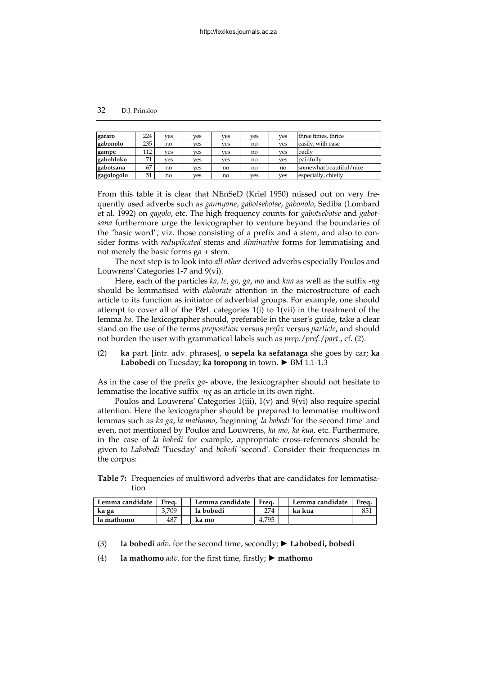| 32 | D.J. Prinsloo |
|----|---------------|
|----|---------------|

| gararo     | 224.             | ves | ves | ves | ves | ves | three times, thrice     |
|------------|------------------|-----|-----|-----|-----|-----|-------------------------|
| gabonolo   | 235              | no  | ves | ves | no  | ves | easily, with ease       |
| gampe      | 112 <sub>1</sub> | ves | ves | ves | no  | ves | badly                   |
| gabohloko  | 71               | ves | ves | ves | no  | ves | painfully               |
| gabotsana  | 67               | no  | ves | no  | no  | no  | somewhat beautiful/nice |
| gagologolo | 51               | no  | ves | no  | ves | ves | especially, chiefly     |

From this table it is clear that NEnSeD (Kriel 1950) missed out on very frequently used adverbs such as *gannyane*, *gabotsebotse*, *gabonolo*, Sediba (Lombard et al. 1992) on *gagolo*, etc. The high frequency counts for *gabotsebotse* and *gabotsana* furthermore urge the lexicographer to venture beyond the boundaries of the "basic word", viz. those consisting of a prefix and a stem, and also to consider forms with *reduplicated* stems and *diminutive* forms for lemmatising and not merely the basic forms ga + stem.

The next step is to look into *all other* derived adverbs especially Poulos and Louwrens' Categories 1-7 and 9(vi).

Here, each of the particles *ka*, *le*, *go*, *ga*, *mo* and *kua* as well as the suffix *-ng* should be lemmatised with *elaborate* attention in the microstructure of each article to its function as initiator of adverbial groups. For example, one should attempt to cover all of the P&L categories 1(i) to 1(vii) in the treatment of the lemma *ka*. The lexicographer should, preferable in the user's guide, take a clear stand on the use of the terms *preposition* versus *prefix* versus *particle*, and should not burden the user with grammatical labels such as *prep.*/*pref.*/*part.*, cf. (2).

(2) **ka** part. [intr. adv. phrases], **o sepela ka sefatanaga** she goes by car; **ka Labobedi** on Tuesday; **ka toropong** in town. ► BM 1.1-1.3

As in the case of the prefix *ga-* above, the lexicographer should not hesitate to lemmatise the locative suffix *-ng* as an article in its own right.

Poulos and Louwrens' Categories 1(iii), 1(v) and 9(vi) also require special attention. Here the lexicographer should be prepared to lemmatise multiword lemmas such as *ka ga*, *la mathomo*, 'beginning' *la bobedi* 'for the second time' and even, not mentioned by Poulos and Louwrens, *ka mo*, *ka kua*, etc. Furthermore, in the case of *la bobedi* for example, appropriate cross-references should be given to *Labobedi* 'Tuesday' and *bobedi* 'second'. Consider their frequencies in the corpus:

**Table 7:** Frequencies of multiword adverbs that are candidates for lemmatisation

| Lemma candidate | Frea. | Lemma candidate | Frea. | Lemma candidate | <b>Freq</b> |
|-----------------|-------|-----------------|-------|-----------------|-------------|
| ka ga           | 3.709 | la bobedi       | 274   | ka kua          | 851         |
| la mathomo      | 487   | ka mo           | 4.795 |                 |             |

- (3) **la bobedi** *adv*. for the second time, secondly; ► **Labobedi, bobedi**
- (4) **la mathomo** *adv.* for the first time, firstly; ► **mathomo**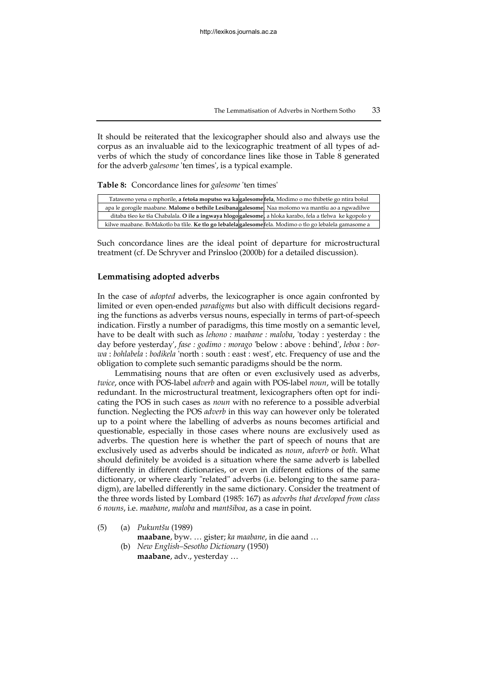It should be reiterated that the lexicographer should also and always use the corpus as an invaluable aid to the lexicographic treatment of all types of adverbs of which the study of concordance lines like those in Table 8 generated for the adverb *galesome* 'ten times', is a typical example.

**Table 8:** Concordance lines for *galesome* 'ten times'

| Tataweno yena o mphorile, a fetoša moputso wa kagalesome fela, Modimo o mo thibetše go ntira bošul      |  |
|---------------------------------------------------------------------------------------------------------|--|
| apa le gorogile maabane. Malome o bethile Lesibana galesome. Naa mošomo wa mantšu ao a ngwadilwe        |  |
| ditaba tšeo ke tša Chabalala. O ile a ingwaya hlogogalesome, a hloka karabo, fela a tlelwa ke kgopolo y |  |
| kilwe maabane. BoMakotlo ba tlile. Ke tlo go lebalelagalesomefela. Modimo o tlo go lebalela gamasome a  |  |

Such concordance lines are the ideal point of departure for microstructural treatment (cf. De Schryver and Prinsloo (2000b) for a detailed discussion).

## **Lemmatising adopted adverbs**

In the case of *adopted* adverbs, the lexicographer is once again confronted by limited or even open-ended *paradigms* but also with difficult decisions regarding the functions as adverbs versus nouns, especially in terms of part-of-speech indication. Firstly a number of paradigms, this time mostly on a semantic level, have to be dealt with such as *lehono : maabane : maloba*, 'today : yesterday : the day before yesterday', *fase : godimo : morago* 'below : above : behind', *leboa* : *borwa* : *bohlabela* : *bodikela* 'north : south : east : west', etc. Frequency of use and the obligation to complete such semantic paradigms should be the norm.

Lemmatising nouns that are often or even exclusively used as adverbs, *twice*, once with POS-label *adverb* and again with POS-label *noun*, will be totally redundant. In the microstructural treatment, lexicographers often opt for indicating the POS in such cases as *noun* with no reference to a possible adverbial function. Neglecting the POS *adverb* in this way can however only be tolerated up to a point where the labelling of adverbs as nouns becomes artificial and questionable, especially in those cases where nouns are exclusively used as adverbs. The question here is whether the part of speech of nouns that are exclusively used as adverbs should be indicated as *noun*, *adverb* or *both*. What should definitely be avoided is a situation where the same adverb is labelled differently in different dictionaries, or even in different editions of the same dictionary, or where clearly "related" adverbs (i.e. belonging to the same paradigm), are labelled differently in the same dictionary. Consider the treatment of the three words listed by Lombard (1985: 167) as *adverbs that developed from class 6 nouns*, i.e. *maabane*, *maloba* and *mantšiboa*, as a case in point.

(5) (a) *Pukuntšu* (1989)

 **maabane**, byw. … gister; *ka maabane*, in die aand … (b) *New English–Sesotho Dictionary* (1950)

 **maabane**, adv., yesterday …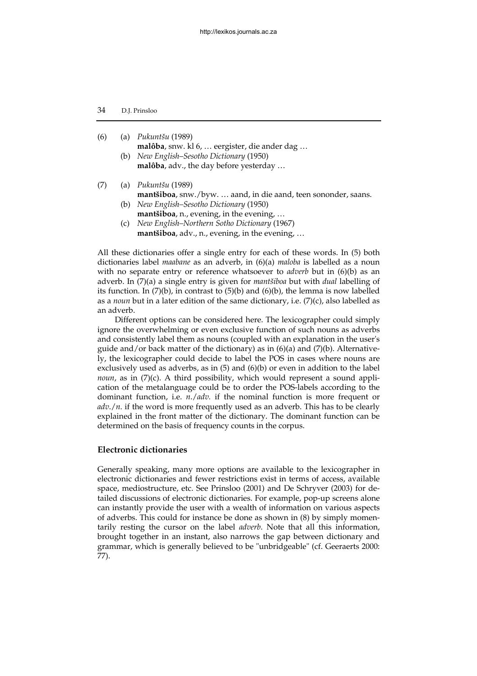| (6) |     | (a) Pukuntšu $(1989)$                                          |
|-----|-----|----------------------------------------------------------------|
|     |     | malôba, snw. kl 6,  eergister, die ander dag                   |
|     | (b) | New English–Sesotho Dictionary (1950)                          |
|     |     | malôba, adv., the day before yesterday                         |
| (7) |     | (a) Pukuntšu (1989)                                            |
|     |     | mantšiboa, snw./byw.  aand, in die aand, teen sononder, saans. |
|     | (b) | New English-Sesotho Dictionary (1950)                          |

 **mantšiboa**, n., evening, in the evening, … (c) *New English–Northern Sotho Dictionary* (1967)  **mantšiboa**, adv., n., evening, in the evening, …

All these dictionaries offer a single entry for each of these words. In (5) both dictionaries label *maabane* as an adverb, in (6)(a) *maloba* is labelled as a noun with no separate entry or reference whatsoever to *adverb* but in (6)(b) as an adverb. In (7)(a) a single entry is given for *mantšiboa* but with *dual* labelling of its function. In  $(7)(b)$ , in contrast to  $(5)(b)$  and  $(6)(b)$ , the lemma is now labelled as a *noun* but in a later edition of the same dictionary, i.e. (7)(c), also labelled as an adverb.

Different options can be considered here. The lexicographer could simply ignore the overwhelming or even exclusive function of such nouns as adverbs and consistently label them as nouns (coupled with an explanation in the user's guide and/or back matter of the dictionary) as in (6)(a) and (7)(b). Alternatively, the lexicographer could decide to label the POS in cases where nouns are exclusively used as adverbs, as in  $(5)$  and  $(6)(b)$  or even in addition to the label *noun*, as in (7)(c). A third possibility, which would represent a sound application of the metalanguage could be to order the POS-labels according to the dominant function, i.e. *n*./*adv.* if the nominal function is more frequent or *adv*./*n.* if the word is more frequently used as an adverb. This has to be clearly explained in the front matter of the dictionary. The dominant function can be determined on the basis of frequency counts in the corpus.

## **Electronic dictionaries**

Generally speaking, many more options are available to the lexicographer in electronic dictionaries and fewer restrictions exist in terms of access, available space, mediostructure, etc. See Prinsloo (2001) and De Schryver (2003) for detailed discussions of electronic dictionaries. For example, pop-up screens alone can instantly provide the user with a wealth of information on various aspects of adverbs. This could for instance be done as shown in (8) by simply momentarily resting the cursor on the label *adverb*. Note that all this information, brought together in an instant, also narrows the gap between dictionary and grammar, which is generally believed to be "unbridgeable" (cf. Geeraerts 2000: 77).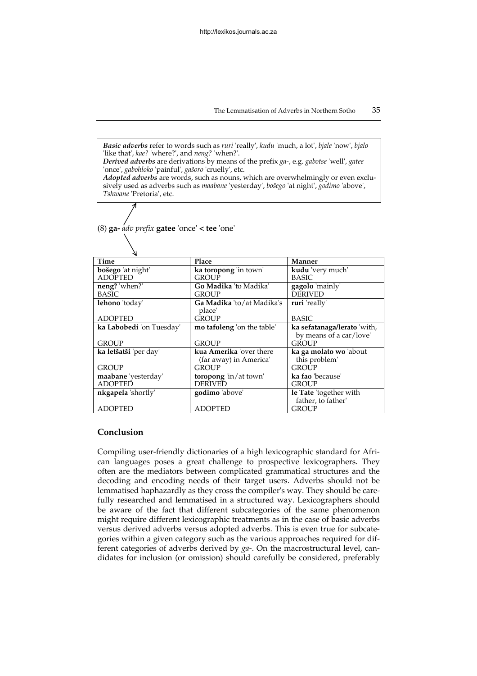(8) **ga-** *adv prefix* **gatee** 'once' **< tee** 'one' **Time Place** Manner **bošego** 'at night' ADOPTED **ka toropong** 'in town' **GROUP kudu** 'very much' BASIC **neng?** 'when?' BASIC **Go Madika** 'to Madika' **GROUP gagolo** 'mainly' DERIVED **lehono** 'today' ADOPTED **Ga Madika** 'to/at Madika's place' **GROUP ruri** 'really' BASIC **ka Labobedi** 'on Tuesday' **GROUP mo tafoleng** 'on the table' **GROUP ka sefatanaga/lerato** 'with, by means of a car/love' GROUP **ka letšatši** 'per day' GROUP **kua Amerika** 'over there (far away) in America' **GROUP ka ga molato wo** 'about this problem' GROUP **maabane** 'yesterday' ADOPTED **toropong** 'in/at town' DERIVED **ka fao** 'because' **GROUP nkgapela** 'shortly' ADOPTED **godimo** 'above' ADOPTED **le Tate** 'together with father, to father' GROUP *Basic adverbs* refer to words such as *ruri* 'really', *kudu* 'much, a lot', *bjale* 'now', *bjalo* 'like that', *kae?* 'where?', and *neng?* 'when?'. *Derived adverbs* are derivations by means of the prefix *ga-*, e.g. *gabotse* 'well', *gatee* 'once', *gabohloko* 'painful', *gašoro* 'cruelly', etc. *Adopted adverbs* are words, such as nouns, which are overwhelmingly or even exclusively used as adverbs such as *maabane* 'yesterday', *bošego* 'at night', *godimo* 'above', *Tshwane* 'Pretoria', etc.

## **Conclusion**

Compiling user-friendly dictionaries of a high lexicographic standard for African languages poses a great challenge to prospective lexicographers. They often are the mediators between complicated grammatical structures and the decoding and encoding needs of their target users. Adverbs should not be lemmatised haphazardly as they cross the compiler's way. They should be carefully researched and lemmatised in a structured way. Lexicographers should be aware of the fact that different subcategories of the same phenomenon might require different lexicographic treatments as in the case of basic adverbs versus derived adverbs versus adopted adverbs. This is even true for subcategories within a given category such as the various approaches required for different categories of adverbs derived by *ga-*. On the macrostructural level, candidates for inclusion (or omission) should carefully be considered, preferably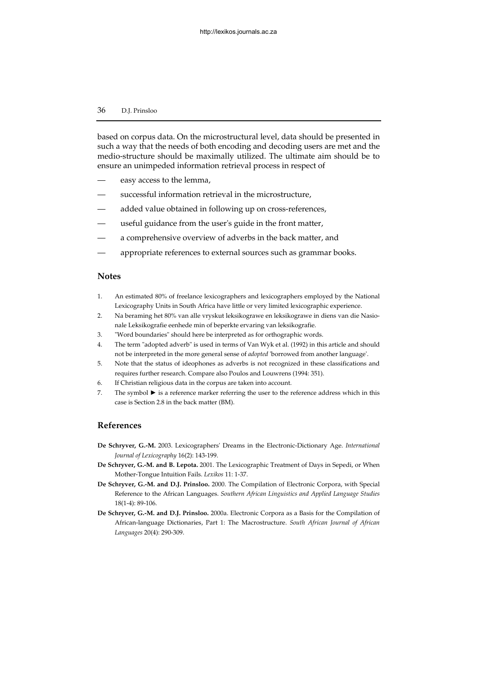based on corpus data. On the microstructural level, data should be presented in such a way that the needs of both encoding and decoding users are met and the medio-structure should be maximally utilized. The ultimate aim should be to ensure an unimpeded information retrieval process in respect of

- easy access to the lemma,
- successful information retrieval in the microstructure,
- added value obtained in following up on cross-references,
- useful guidance from the user's guide in the front matter,
- a comprehensive overview of adverbs in the back matter, and
- appropriate references to external sources such as grammar books.

# **Notes**

- 1. An estimated 80% of freelance lexicographers and lexicographers employed by the National Lexicography Units in South Africa have little or very limited lexicographic experience.
- 2. Na beraming het 80% van alle vryskut leksikograwe en leksikograwe in diens van die Nasionale Leksikografie eenhede min of beperkte ervaring van leksikografie.
- 3. "Word boundaries" should here be interpreted as for orthographic words.
- 4. The term "adopted adverb" is used in terms of Van Wyk et al. (1992) in this article and should not be interpreted in the more general sense of *adopted* 'borrowed from another language'.
- 5. Note that the status of ideophones as adverbs is not recognized in these classifications and requires further research. Compare also Poulos and Louwrens (1994: 351).
- 6. If Christian religious data in the corpus are taken into account.
- 7. The symbol ► is a reference marker referring the user to the reference address which in this case is Section 2.8 in the back matter (BM).

# **References**

- **De Schryver, G.-M.** 2003. Lexicographers' Dreams in the Electronic-Dictionary Age. *International Journal of Lexicography* 16(2): 143-199.
- **De Schryver, G.-M. and B. Lepota.** 2001. The Lexicographic Treatment of Days in Sepedi, or When Mother-Tongue Intuition Fails. *Lexikos* 11: 1-37.
- **De Schryver, G.-M. and D.J. Prinsloo.** 2000. The Compilation of Electronic Corpora, with Special Reference to the African Languages. *Southern African Linguistics and Applied Language Studies* 18(1-4): 89-106.
- **De Schryver, G.-M. and D.J. Prinsloo.** 2000a. Electronic Corpora as a Basis for the Compilation of African-language Dictionaries, Part 1: The Macrostructure. *South African Journal of African Languages* 20(4): 290-309.